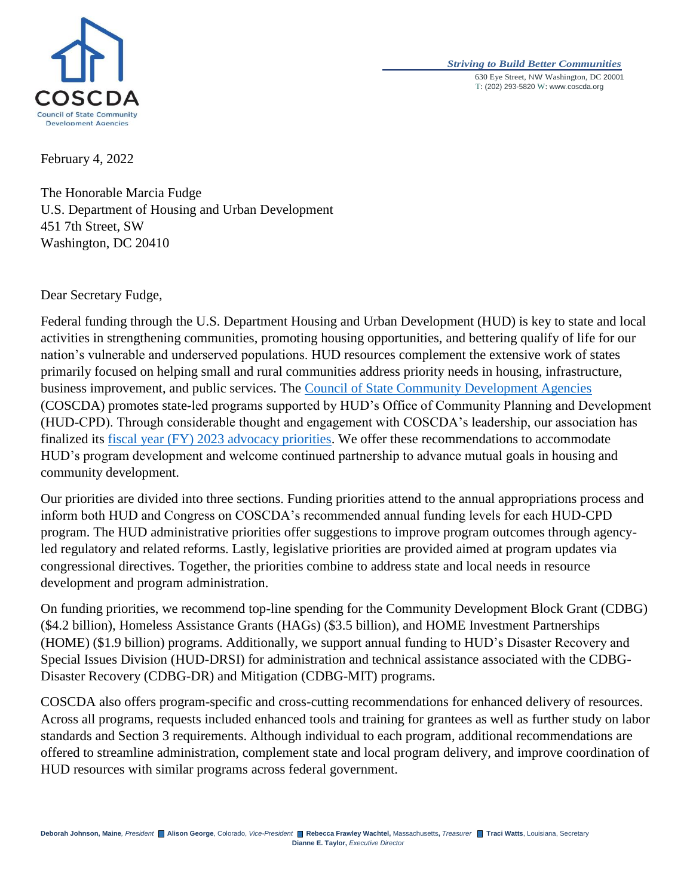

## *Striving to Build Better Communities* 630 Eye Street, NW Washington, DC 20001 T: (202) 293-5820 W: www.coscda.org

February 4, 2022

The Honorable Marcia Fudge U.S. Department of Housing and Urban Development 451 7th Street, SW Washington, DC 20410

Dear Secretary Fudge,

Federal funding through the U.S. Department Housing and Urban Development (HUD) is key to state and local activities in strengthening communities, promoting housing opportunities, and bettering qualify of life for our nation's vulnerable and underserved populations. HUD resources complement the extensive work of states primarily focused on helping small and rural communities address priority needs in housing, infrastructure, business improvement, and public services. The [Council of State Community Development Agencies](http://www.coscda.org/) (COSCDA) promotes state-led programs supported by HUD's Office of Community Planning and Development (HUD-CPD). Through considerable thought and engagement with COSCDA's leadership, our association has finalized its [fiscal year \(FY\) 2023 advocacy priorities.](https://coscda.org/wp-content/uploads/2022/02/COSCDA-FY23-PrioritiesFINAL.pdf) We offer these recommendations to accommodate HUD's program development and welcome continued partnership to advance mutual goals in housing and community development.

Our priorities are divided into three sections. Funding priorities attend to the annual appropriations process and inform both HUD and Congress on COSCDA's recommended annual funding levels for each HUD-CPD program. The HUD administrative priorities offer suggestions to improve program outcomes through agencyled regulatory and related reforms. Lastly, legislative priorities are provided aimed at program updates via congressional directives. Together, the priorities combine to address state and local needs in resource development and program administration.

On funding priorities, we recommend top-line spending for the Community Development Block Grant (CDBG) (\$4.2 billion), Homeless Assistance Grants (HAGs) (\$3.5 billion), and HOME Investment Partnerships (HOME) (\$1.9 billion) programs. Additionally, we support annual funding to HUD's Disaster Recovery and Special Issues Division (HUD-DRSI) for administration and technical assistance associated with the CDBG-Disaster Recovery (CDBG-DR) and Mitigation (CDBG-MIT) programs.

COSCDA also offers program-specific and cross-cutting recommendations for enhanced delivery of resources. Across all programs, requests included enhanced tools and training for grantees as well as further study on labor standards and Section 3 requirements. Although individual to each program, additional recommendations are offered to streamline administration, complement state and local program delivery, and improve coordination of HUD resources with similar programs across federal government.